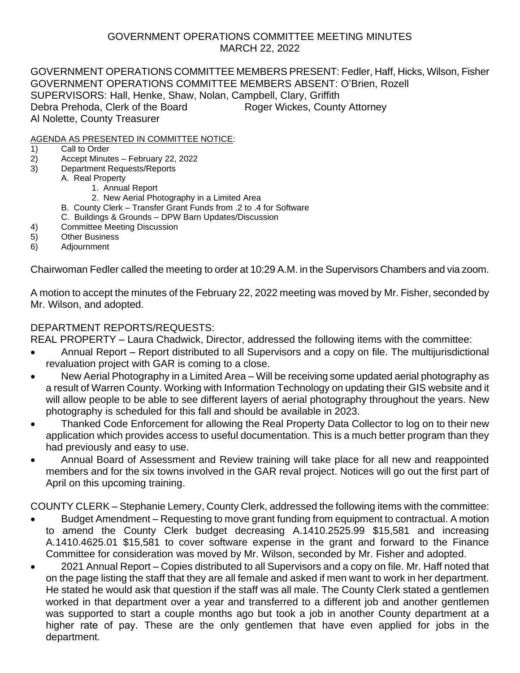### GOVERNMENT OPERATIONS COMMITTEE MEETING MINUTES MARCH 22, 2022

GOVERNMENT OPERATIONS COMMITTEE MEMBERS PRESENT: Fedler, Haff, Hicks, Wilson, Fisher GOVERNMENT OPERATIONS COMMITTEE MEMBERS ABSENT: O'Brien, Rozell SUPERVISORS: Hall, Henke, Shaw, Nolan, Campbell, Clary, Griffith Debra Prehoda, Clerk of the Board Roger Wickes, County Attorney Al Nolette, County Treasurer

#### AGENDA AS PRESENTED IN COMMITTEE NOTICE:

- 1) Call to Order
- 2) Accept Minutes February 22, 2022
- 3) Department Requests/Reports
	- A. Real Property
		- 1. Annual Report
		- 2. New Aerial Photography in a Limited Area
		- B. County Clerk Transfer Grant Funds from .2 to .4 for Software
		- C. Buildings & Grounds DPW Barn Updates/Discussion
- 4) Committee Meeting Discussion
- 5) Other Business
- 6) Adjournment

Chairwoman Fedler called the meeting to order at 10:29 A.M. in the Supervisors Chambers and via zoom.

A motion to accept the minutes of the February 22, 2022 meeting was moved by Mr. Fisher, seconded by Mr. Wilson, and adopted.

### DEPARTMENT REPORTS/REQUESTS:

REAL PROPERTY – Laura Chadwick, Director, addressed the following items with the committee:

- Annual Report Report distributed to all Supervisors and a copy on file. The multijurisdictional revaluation project with GAR is coming to a close.
- New Aerial Photography in a Limited Area Will be receiving some updated aerial photography as a result of Warren County. Working with Information Technology on updating their GIS website and it will allow people to be able to see different layers of aerial photography throughout the years. New photography is scheduled for this fall and should be available in 2023.
- Thanked Code Enforcement for allowing the Real Property Data Collector to log on to their new application which provides access to useful documentation. This is a much better program than they had previously and easy to use.
- Annual Board of Assessment and Review training will take place for all new and reappointed members and for the six towns involved in the GAR reval project. Notices will go out the first part of April on this upcoming training.

COUNTY CLERK – Stephanie Lemery, County Clerk, addressed the following items with the committee:

- Budget Amendment Requesting to move grant funding from equipment to contractual. A motion to amend the County Clerk budget decreasing A.1410.2525.99 \$15,581 and increasing A.1410.4625.01 \$15,581 to cover software expense in the grant and forward to the Finance Committee for consideration was moved by Mr. Wilson, seconded by Mr. Fisher and adopted.
- 2021 Annual Report Copies distributed to all Supervisors and a copy on file. Mr. Haff noted that on the page listing the staff that they are all female and asked if men want to work in her department. He stated he would ask that question if the staff was all male. The County Clerk stated a gentlemen worked in that department over a year and transferred to a different job and another gentlemen was supported to start a couple months ago but took a job in another County department at a higher rate of pay. These are the only gentlemen that have even applied for jobs in the department.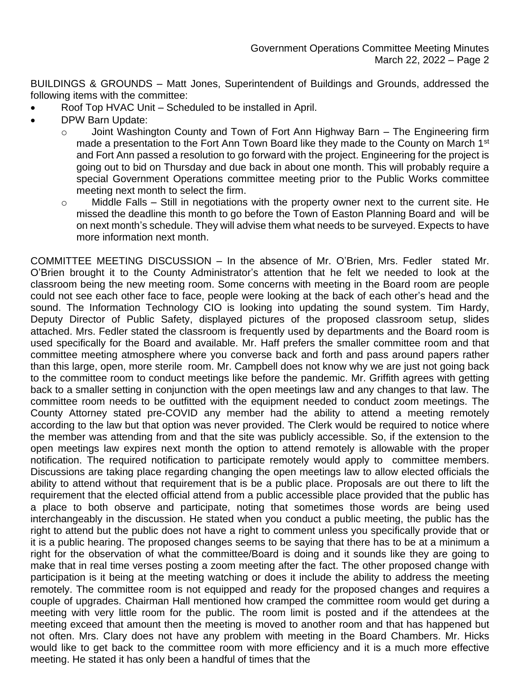BUILDINGS & GROUNDS – Matt Jones, Superintendent of Buildings and Grounds, addressed the following items with the committee:

- Roof Top HVAC Unit Scheduled to be installed in April.
- DPW Barn Update:
	- o Joint Washington County and Town of Fort Ann Highway Barn The Engineering firm made a presentation to the Fort Ann Town Board like they made to the County on March 1<sup>st</sup> and Fort Ann passed a resolution to go forward with the project. Engineering for the project is going out to bid on Thursday and due back in about one month. This will probably require a special Government Operations committee meeting prior to the Public Works committee meeting next month to select the firm.
	- o Middle Falls Still in negotiations with the property owner next to the current site. He missed the deadline this month to go before the Town of Easton Planning Board and will be on next month's schedule. They will advise them what needs to be surveyed. Expects to have more information next month.

COMMITTEE MEETING DISCUSSION – In the absence of Mr. O'Brien, Mrs. Fedler stated Mr. O'Brien brought it to the County Administrator's attention that he felt we needed to look at the classroom being the new meeting room. Some concerns with meeting in the Board room are people could not see each other face to face, people were looking at the back of each other's head and the sound. The Information Technology CIO is looking into updating the sound system. Tim Hardy, Deputy Director of Public Safety, displayed pictures of the proposed classroom setup, slides attached. Mrs. Fedler stated the classroom is frequently used by departments and the Board room is used specifically for the Board and available. Mr. Haff prefers the smaller committee room and that committee meeting atmosphere where you converse back and forth and pass around papers rather than this large, open, more sterile room. Mr. Campbell does not know why we are just not going back to the committee room to conduct meetings like before the pandemic. Mr. Griffith agrees with getting back to a smaller setting in conjunction with the open meetings law and any changes to that law. The committee room needs to be outfitted with the equipment needed to conduct zoom meetings. The County Attorney stated pre-COVID any member had the ability to attend a meeting remotely according to the law but that option was never provided. The Clerk would be required to notice where the member was attending from and that the site was publicly accessible. So, if the extension to the open meetings law expires next month the option to attend remotely is allowable with the proper notification. The required notification to participate remotely would apply to committee members. Discussions are taking place regarding changing the open meetings law to allow elected officials the ability to attend without that requirement that is be a public place. Proposals are out there to lift the requirement that the elected official attend from a public accessible place provided that the public has a place to both observe and participate, noting that sometimes those words are being used interchangeably in the discussion. He stated when you conduct a public meeting, the public has the right to attend but the public does not have a right to comment unless you specifically provide that or it is a public hearing. The proposed changes seems to be saying that there has to be at a minimum a right for the observation of what the committee/Board is doing and it sounds like they are going to make that in real time verses posting a zoom meeting after the fact. The other proposed change with participation is it being at the meeting watching or does it include the ability to address the meeting remotely. The committee room is not equipped and ready for the proposed changes and requires a couple of upgrades. Chairman Hall mentioned how cramped the committee room would get during a meeting with very little room for the public. The room limit is posted and if the attendees at the meeting exceed that amount then the meeting is moved to another room and that has happened but not often. Mrs. Clary does not have any problem with meeting in the Board Chambers. Mr. Hicks would like to get back to the committee room with more efficiency and it is a much more effective meeting. He stated it has only been a handful of times that the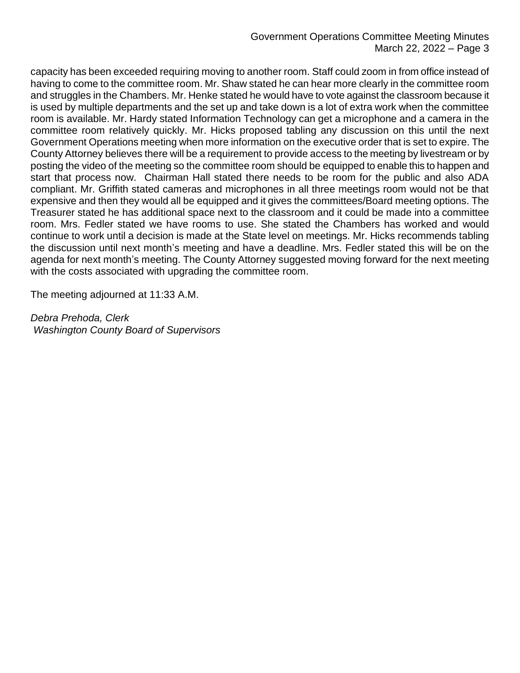#### Government Operations Committee Meeting Minutes March 22, 2022 – Page 3

capacity has been exceeded requiring moving to another room. Staff could zoom in from office instead of having to come to the committee room. Mr. Shaw stated he can hear more clearly in the committee room and struggles in the Chambers. Mr. Henke stated he would have to vote against the classroom because it is used by multiple departments and the set up and take down is a lot of extra work when the committee room is available. Mr. Hardy stated Information Technology can get a microphone and a camera in the committee room relatively quickly. Mr. Hicks proposed tabling any discussion on this until the next Government Operations meeting when more information on the executive order that is set to expire. The County Attorney believes there will be a requirement to provide access to the meeting by livestream or by posting the video of the meeting so the committee room should be equipped to enable this to happen and start that process now. Chairman Hall stated there needs to be room for the public and also ADA compliant. Mr. Griffith stated cameras and microphones in all three meetings room would not be that expensive and then they would all be equipped and it gives the committees/Board meeting options. The Treasurer stated he has additional space next to the classroom and it could be made into a committee room. Mrs. Fedler stated we have rooms to use. She stated the Chambers has worked and would continue to work until a decision is made at the State level on meetings. Mr. Hicks recommends tabling the discussion until next month's meeting and have a deadline. Mrs. Fedler stated this will be on the agenda for next month's meeting. The County Attorney suggested moving forward for the next meeting with the costs associated with upgrading the committee room.

The meeting adjourned at 11:33 A.M.

*Debra Prehoda, Clerk Washington County Board of Supervisors*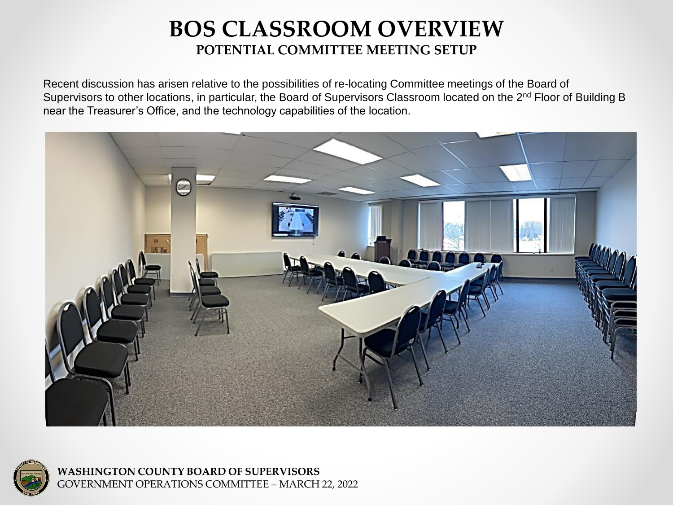## **BOS CLASSROOM OVERVIEW POTENTIAL COMMITTEE MEETING SETUP**

Recent discussion has arisen relative to the possibilities of re-locating Committee meetings of the Board of Supervisors to other locations, in particular, the Board of Supervisors Classroom located on the 2<sup>nd</sup> Floor of Building B near the Treasurer's Office, and the technology capabilities of the location.





**WASHINGTON COUNTY BOARD OF SUPERVISORS** GOVERNMENT OPERATIONS COMMITTEE – MARCH 22, 2022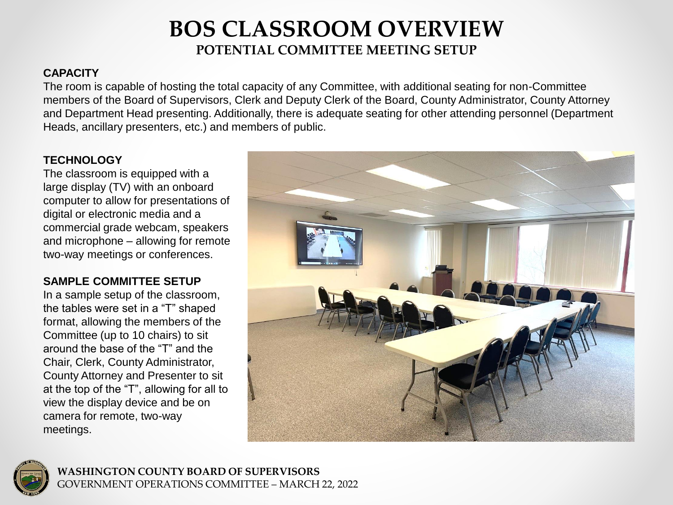## **BOS CLASSROOM OVERVIEW POTENTIAL COMMITTEE MEETING SETUP**

## **CAPACITY**

The room is capable of hosting the total capacity of any Committee, with additional seating for non-Committee members of the Board of Supervisors, Clerk and Deputy Clerk of the Board, County Administrator, County Attorney and Department Head presenting. Additionally, there is adequate seating for other attending personnel (Department Heads, ancillary presenters, etc.) and members of public.

## **TECHNOLOGY**

The classroom is equipped with a large display (TV) with an onboard computer to allow for presentations of digital or electronic media and a commercial grade webcam, speakers and microphone – allowing for remote two-way meetings or conferences.

## **SAMPLE COMMITTEE SETUP**

In a sample setup of the classroom, the tables were set in a "T" shaped format, allowing the members of the Committee (up to 10 chairs) to sit around the base of the "T" and the Chair, Clerk, County Administrator, County Attorney and Presenter to sit at the top of the "T", allowing for all to view the display device and be on camera for remote, two-way meetings.





**WASHINGTON COUNTY BOARD OF SUPERVISORS** GOVERNMENT OPERATIONS COMMITTEE – MARCH 22, 2022